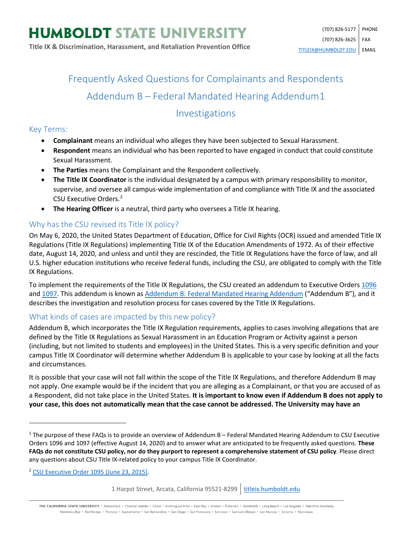# Frequently Asked Questions for Complainants and Respondents Addendum B – Federal Mandated Hearing Addendum[1](#page-0-0)

# Investigations

#### Key Terms:

- **Complainant** means an individual who alleges they have been subjected to Sexual Harassment.
- **Respondent** means an individual who has been reported to have engaged in conduct that could constitute Sexual Harassment.
- **The Parties** means the Complainant and the Respondent collectively.
- **The Title IX Coordinator** is the individual designated by a campus with primary responsibility to monitor, supervise, and oversee all campus-wide implementation of and compliance with Title IX and the associated CSU Executive Orders.<sup>[2](#page-0-1)</sup>
- **The Hearing Officer** is a neutral, third party who oversees a Title IX hearing.

# Why has the CSU revised its Title IX policy?

On May 6, 2020, the United States Department of Education, Office for Civil Rights (OCR) issued and amended Title IX Regulations (Title IX Regulations) implementing Title IX of the Education Amendments of 1972. As of their effective date, August 14, 2020, and unless and until they are rescinded, the Title IX Regulations have the force of law, and all U.S. higher education institutions who receive federal funds, including the CSU, are obligated to comply with the Title IX Regulations.

To implement the requirements of the Title IX Regulations, the CSU created an addendum to Executive Order[s 1096](https://calstate.policystat.com/policy/8453514/latest/) an[d 1097.](https://calstate.policystat.com/policy/8453516/latest/) This addendum is known a[s Addendum B: Federal Mandated Hearing Addendum](https://calstate.policystat.com/policy/8453516/latest/#autoid-b4kb9) ("Addendum B"), and it describes the investigation and resolution process for cases covered by the Title IX Regulations.

# What kinds of cases are impacted by this new policy?

Addendum B, which incorporates the Title IX Regulation requirements, applies to cases involving allegations that are defined by the Title IX Regulations as Sexual Harassment in an Education Program or Activity against a person (including, but not limited to students and employees) in the United States. This is a very specific definition and your campus Title IX Coordinator will determine whether Addendum B is applicable to your case by looking at all the facts and circumstances.

It is possible that your case will not fall within the scope of the Title IX Regulations, and therefore Addendum B may not apply. One example would be if the incident that you are alleging as a Complainant, or that you are accused of as a Respondent, did not take place in the United States. **It is important to know even if Addendum B does not apply to your case, this does not automatically mean that the case cannot be addressed. The University may have an** 

 $\overline{\phantom{a}}$ 

THE CALIFORNIA STATE UNIVERSITY · Bakersfield · Channel Islands · Chico · Dominguez Hills · East Bay · Fresno · Fullerton · Humboldt · Long Beach · Los Angeles · Maritime Academy Monterey Bay . Northridge . Pomona . Sacramento . San Bernardino . San Diego . San Francisco . San Jose . San Luis Obispo . San Marcos . Sonoma . Stanislaus

<span id="page-0-0"></span> $1$  The purpose of these FAQs is to provide an overview of Addendum B – Federal Mandated Hearing Addendum to CSU Executive Orders 1096 and 1097 (effective August 14, 2020) and to answer what are anticipated to be frequently asked questions. **These FAQs do not constitute CSU policy, nor do they purport to represent a comprehensive statement of CSU policy**. Please direct any questions about CSU Title IX-related policy to your campus Title IX Coordinator.

<span id="page-0-1"></span><sup>2</sup> [CSU Executive Order 1095 \(June 23, 2015\).](https://calstate.policystat.com/policy/6741651/latest/)

<sup>1</sup> Harpst Street, Arcata, California 95521-8299 | [titleix.humboldt.edu](https://titleix.humboldt.edu/)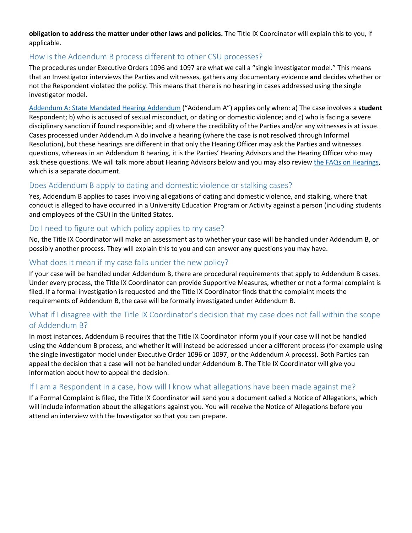**obligation to address the matter under other laws and policies.** The Title IX Coordinator will explain this to you, if applicable.

#### How is the Addendum B process different to other CSU processes?

The procedures under Executive Orders 1096 and 1097 are what we call a "single investigator model." This means that an Investigator interviews the Parties and witnesses, gathers any documentary evidence **and** decides whether or not the Respondent violated the policy. This means that there is no hearing in cases addressed using the single investigator model.

[Addendum A: State Mandated Hearing Addendum](https://calstate.policystat.com/policy/8453516/latest/#autoid-58zq4) ("Addendum A") applies only when: a) The case involves a **student** Respondent; b) who is accused of sexual misconduct, or dating or domestic violence; and c) who is facing a severe disciplinary sanction if found responsible; and d) where the credibility of the Parties and/or any witnesses is at issue. Cases processed under Addendum A do involve a hearing (where the case is not resolved through Informal Resolution), but these hearings are different in that only the Hearing Officer may ask the Parties and witnesses questions, whereas in an Addendum B hearing, it is the Parties' Hearing Advisors and the Hearing Officer who may ask these questions. We will talk more about Hearing Advisors below and you may also revie[w the FAQs on Hearings,](https://titleix.humboldt.edu/sites/default/files/addendum_b_-_faqs_-_hearings.pdf) which is a separate document.

#### Does Addendum B apply to dating and domestic violence or stalking cases?

Yes, Addendum B applies to cases involving allegations of dating and domestic violence, and stalking, where that conduct is alleged to have occurred in a University Education Program or Activity against a person (including students and employees of the CSU) in the United States.

#### Do I need to figure out which policy applies to my case?

No, the Title IX Coordinator will make an assessment as to whether your case will be handled under Addendum B, or possibly another process. They will explain this to you and can answer any questions you may have.

#### What does it mean if my case falls under the new policy?

If your case will be handled under Addendum B, there are procedural requirements that apply to Addendum B cases. Under every process, the Title IX Coordinator can provide Supportive Measures, whether or not a formal complaint is filed. If a formal investigation is requested and the Title IX Coordinator finds that the complaint meets the requirements of Addendum B, the case will be formally investigated under Addendum B.

# What if I disagree with the Title IX Coordinator's decision that my case does not fall within the scope of Addendum B?

In most instances, Addendum B requires that the Title IX Coordinator inform you if your case will not be handled using the Addendum B process, and whether it will instead be addressed under a different process (for example using the single investigator model under Executive Order 1096 or 1097, or the Addendum A process). Both Parties can appeal the decision that a case will not be handled under Addendum B. The Title IX Coordinator will give you information about how to appeal the decision.

#### If I am a Respondent in a case, how will I know what allegations have been made against me?

If a Formal Complaint is filed, the Title IX Coordinator will send you a document called a Notice of Allegations, which will include information about the allegations against you. You will receive the Notice of Allegations before you attend an interview with the Investigator so that you can prepare.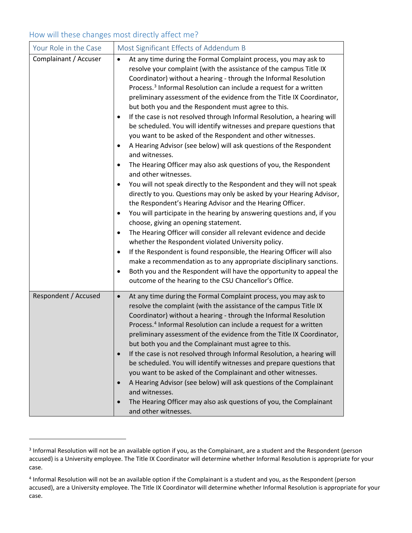# How will these changes most directly affect me?

 $\overline{\phantom{a}}$ 

| Your Role in the Case | Most Significant Effects of Addendum B                                                                                                                                                                                                                                                                                                                                                                                                                                                                                                                                                                                                                                                                                                                                                                                                                                                                                                                                                                                                                                                                                                                                                                                                                                                                                                                                                                                                                                                                                                                                                                                      |
|-----------------------|-----------------------------------------------------------------------------------------------------------------------------------------------------------------------------------------------------------------------------------------------------------------------------------------------------------------------------------------------------------------------------------------------------------------------------------------------------------------------------------------------------------------------------------------------------------------------------------------------------------------------------------------------------------------------------------------------------------------------------------------------------------------------------------------------------------------------------------------------------------------------------------------------------------------------------------------------------------------------------------------------------------------------------------------------------------------------------------------------------------------------------------------------------------------------------------------------------------------------------------------------------------------------------------------------------------------------------------------------------------------------------------------------------------------------------------------------------------------------------------------------------------------------------------------------------------------------------------------------------------------------------|
| Complainant / Accuser | At any time during the Formal Complaint process, you may ask to<br>$\bullet$<br>resolve your complaint (with the assistance of the campus Title IX<br>Coordinator) without a hearing - through the Informal Resolution<br>Process. <sup>3</sup> Informal Resolution can include a request for a written<br>preliminary assessment of the evidence from the Title IX Coordinator,<br>but both you and the Respondent must agree to this.<br>If the case is not resolved through Informal Resolution, a hearing will<br>be scheduled. You will identify witnesses and prepare questions that<br>you want to be asked of the Respondent and other witnesses.<br>A Hearing Advisor (see below) will ask questions of the Respondent<br>and witnesses.<br>The Hearing Officer may also ask questions of you, the Respondent<br>and other witnesses.<br>You will not speak directly to the Respondent and they will not speak<br>$\bullet$<br>directly to you. Questions may only be asked by your Hearing Advisor,<br>the Respondent's Hearing Advisor and the Hearing Officer.<br>You will participate in the hearing by answering questions and, if you<br>٠<br>choose, giving an opening statement.<br>The Hearing Officer will consider all relevant evidence and decide<br>$\bullet$<br>whether the Respondent violated University policy.<br>If the Respondent is found responsible, the Hearing Officer will also<br>make a recommendation as to any appropriate disciplinary sanctions.<br>Both you and the Respondent will have the opportunity to appeal the<br>outcome of the hearing to the CSU Chancellor's Office. |
| Respondent / Accused  | At any time during the Formal Complaint process, you may ask to<br>$\bullet$<br>resolve the complaint (with the assistance of the campus Title IX<br>Coordinator) without a hearing - through the Informal Resolution<br>Process. <sup>4</sup> Informal Resolution can include a request for a written<br>preliminary assessment of the evidence from the Title IX Coordinator,<br>but both you and the Complainant must agree to this.<br>If the case is not resolved through Informal Resolution, a hearing will<br>$\bullet$<br>be scheduled. You will identify witnesses and prepare questions that<br>you want to be asked of the Complainant and other witnesses.<br>A Hearing Advisor (see below) will ask questions of the Complainant<br>$\bullet$<br>and witnesses.<br>The Hearing Officer may also ask questions of you, the Complainant<br>$\bullet$<br>and other witnesses.                                                                                                                                                                                                                                                                                                                                                                                                                                                                                                                                                                                                                                                                                                                                    |

<span id="page-2-0"></span><sup>&</sup>lt;sup>3</sup> Informal Resolution will not be an available option if you, as the Complainant, are a student and the Respondent (person accused) is a University employee. The Title IX Coordinator will determine whether Informal Resolution is appropriate for your case.

<span id="page-2-1"></span><sup>4</sup> Informal Resolution will not be an available option if the Complainant is a student and you, as the Respondent (person accused), are a University employee. The Title IX Coordinator will determine whether Informal Resolution is appropriate for your case.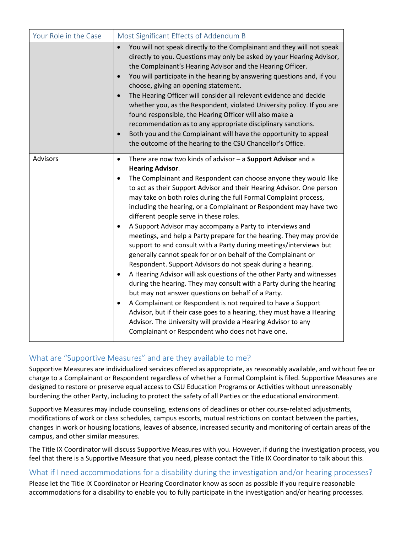| Your Role in the Case | Most Significant Effects of Addendum B                                                                                                                                                                                                                                                                                                                                                                                                                                                                                                                                                                                                                                                                                                                                                                                                                                                                                                                                                                                                                                                                                                                                                                                                                                                                        |
|-----------------------|---------------------------------------------------------------------------------------------------------------------------------------------------------------------------------------------------------------------------------------------------------------------------------------------------------------------------------------------------------------------------------------------------------------------------------------------------------------------------------------------------------------------------------------------------------------------------------------------------------------------------------------------------------------------------------------------------------------------------------------------------------------------------------------------------------------------------------------------------------------------------------------------------------------------------------------------------------------------------------------------------------------------------------------------------------------------------------------------------------------------------------------------------------------------------------------------------------------------------------------------------------------------------------------------------------------|
|                       | You will not speak directly to the Complainant and they will not speak<br>$\bullet$<br>directly to you. Questions may only be asked by your Hearing Advisor,<br>the Complainant's Hearing Advisor and the Hearing Officer.<br>You will participate in the hearing by answering questions and, if you<br>$\bullet$<br>choose, giving an opening statement.<br>The Hearing Officer will consider all relevant evidence and decide<br>$\bullet$<br>whether you, as the Respondent, violated University policy. If you are<br>found responsible, the Hearing Officer will also make a<br>recommendation as to any appropriate disciplinary sanctions.<br>Both you and the Complainant will have the opportunity to appeal<br>$\bullet$<br>the outcome of the hearing to the CSU Chancellor's Office.                                                                                                                                                                                                                                                                                                                                                                                                                                                                                                              |
| Advisors              | There are now two kinds of advisor $-$ a Support Advisor and a<br>$\bullet$<br><b>Hearing Advisor.</b><br>The Complainant and Respondent can choose anyone they would like<br>$\bullet$<br>to act as their Support Advisor and their Hearing Advisor. One person<br>may take on both roles during the full Formal Complaint process,<br>including the hearing, or a Complainant or Respondent may have two<br>different people serve in these roles.<br>A Support Advisor may accompany a Party to interviews and<br>$\bullet$<br>meetings, and help a Party prepare for the hearing. They may provide<br>support to and consult with a Party during meetings/interviews but<br>generally cannot speak for or on behalf of the Complainant or<br>Respondent. Support Advisors do not speak during a hearing.<br>A Hearing Advisor will ask questions of the other Party and witnesses<br>$\bullet$<br>during the hearing. They may consult with a Party during the hearing<br>but may not answer questions on behalf of a Party.<br>A Complainant or Respondent is not required to have a Support<br>$\bullet$<br>Advisor, but if their case goes to a hearing, they must have a Hearing<br>Advisor. The University will provide a Hearing Advisor to any<br>Complainant or Respondent who does not have one. |

# What are "Supportive Measures" and are they available to me?

Supportive Measures are individualized services offered as appropriate, as reasonably available, and without fee or charge to a Complainant or Respondent regardless of whether a Formal Complaint is filed. Supportive Measures are designed to restore or preserve equal access to CSU Education Programs or Activities without unreasonably burdening the other Party, including to protect the safety of all Parties or the educational environment.

Supportive Measures may include counseling, extensions of deadlines or other course-related adjustments, modifications of work or class schedules, campus escorts, mutual restrictions on contact between the parties, changes in work or housing locations, leaves of absence, increased security and monitoring of certain areas of the campus, and other similar measures.

The Title IX Coordinator will discuss Supportive Measures with you. However, if during the investigation process, you feel that there is a Supportive Measure that you need, please contact the Title IX Coordinator to talk about this.

#### What if I need accommodations for a disability during the investigation and/or hearing processes?

Please let the Title IX Coordinator or Hearing Coordinator know as soon as possible if you require reasonable accommodations for a disability to enable you to fully participate in the investigation and/or hearing processes.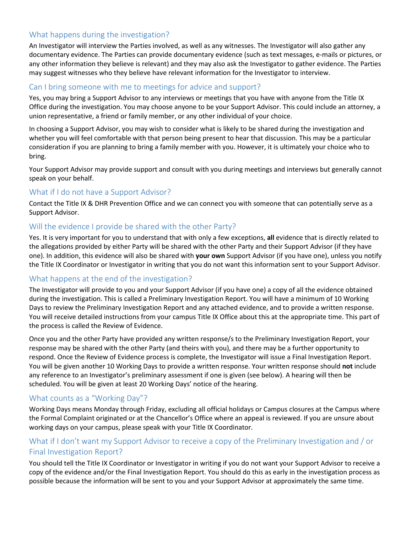# What happens during the investigation?

An Investigator will interview the Parties involved, as well as any witnesses. The Investigator will also gather any documentary evidence. The Parties can provide documentary evidence (such as text messages, e-mails or pictures, or any other information they believe is relevant) and they may also ask the Investigator to gather evidence. The Parties may suggest witnesses who they believe have relevant information for the Investigator to interview.

#### Can I bring someone with me to meetings for advice and support?

Yes, you may bring a Support Advisor to any interviews or meetings that you have with anyone from the Title IX Office during the investigation. You may choose anyone to be your Support Advisor. This could include an attorney, a union representative, a friend or family member, or any other individual of your choice.

In choosing a Support Advisor, you may wish to consider what is likely to be shared during the investigation and whether you will feel comfortable with that person being present to hear that discussion. This may be a particular consideration if you are planning to bring a family member with you. However, it is ultimately your choice who to bring.

Your Support Advisor may provide support and consult with you during meetings and interviews but generally cannot speak on your behalf.

#### What if I do not have a Support Advisor?

Contact the Title IX & DHR Prevention Office and we can connect you with someone that can potentially serve as a Support Advisor.

# Will the evidence I provide be shared with the other Party?

Yes. It is very important for you to understand that with only a few exceptions, **all** evidence that is directly related to the allegations provided by either Party will be shared with the other Party and their Support Advisor (if they have one). In addition, this evidence will also be shared with **your own** Support Advisor (if you have one), unless you notify the Title IX Coordinator or Investigator in writing that you do not want this information sent to your Support Advisor.

# What happens at the end of the investigation?

The Investigator will provide to you and your Support Advisor (if you have one) a copy of all the evidence obtained during the investigation. This is called a Preliminary Investigation Report. You will have a minimum of 10 Working Days to review the Preliminary Investigation Report and any attached evidence, and to provide a written response. You will receive detailed instructions from your campus Title IX Office about this at the appropriate time. This part of the process is called the Review of Evidence.

Once you and the other Party have provided any written response/s to the Preliminary Investigation Report, your response may be shared with the other Party (and theirs with you), and there may be a further opportunity to respond. Once the Review of Evidence process is complete, the Investigator will issue a Final Investigation Report. You will be given another 10 Working Days to provide a written response. Your written response should **not** include any reference to an Investigator's preliminary assessment if one is given (see below). A hearing will then be scheduled. You will be given at least 20 Working Days' notice of the hearing.

# What counts as a "Working Day"?

Working Days means Monday through Friday, excluding all official holidays or Campus closures at the Campus where the Formal Complaint originated or at the Chancellor's Office where an appeal is reviewed. If you are unsure about working days on your campus, please speak with your Title IX Coordinator.

# What if I don't want my Support Advisor to receive a copy of the Preliminary Investigation and / or Final Investigation Report?

You should tell the Title IX Coordinator or Investigator in writing if you do not want your Support Advisor to receive a copy of the evidence and/or the Final Investigation Report. You should do this as early in the investigation process as possible because the information will be sent to you and your Support Advisor at approximately the same time.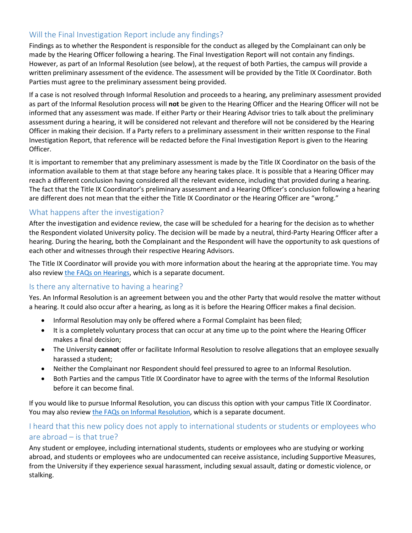# Will the Final Investigation Report include any findings?

Findings as to whether the Respondent is responsible for the conduct as alleged by the Complainant can only be made by the Hearing Officer following a hearing. The Final Investigation Report will not contain any findings. However, as part of an Informal Resolution (see below), at the request of both Parties, the campus will provide a written preliminary assessment of the evidence. The assessment will be provided by the Title IX Coordinator. Both Parties must agree to the preliminary assessment being provided.

If a case is not resolved through Informal Resolution and proceeds to a hearing, any preliminary assessment provided as part of the Informal Resolution process will **not** be given to the Hearing Officer and the Hearing Officer will not be informed that any assessment was made. If either Party or their Hearing Advisor tries to talk about the preliminary assessment during a hearing, it will be considered not relevant and therefore will not be considered by the Hearing Officer in making their decision. If a Party refers to a preliminary assessment in their written response to the Final Investigation Report, that reference will be redacted before the Final Investigation Report is given to the Hearing Officer.

It is important to remember that any preliminary assessment is made by the Title IX Coordinator on the basis of the information available to them at that stage before any hearing takes place. It is possible that a Hearing Officer may reach a different conclusion having considered all the relevant evidence, including that provided during a hearing. The fact that the Title IX Coordinator's preliminary assessment and a Hearing Officer's conclusion following a hearing are different does not mean that the either the Title IX Coordinator or the Hearing Officer are "wrong."

# What happens after the investigation?

After the investigation and evidence review, the case will be scheduled for a hearing for the decision as to whether the Respondent violated University policy. The decision will be made by a neutral, third-Party Hearing Officer after a hearing. During the hearing, both the Complainant and the Respondent will have the opportunity to ask questions of each other and witnesses through their respective Hearing Advisors.

The Title IX Coordinator will provide you with more information about the hearing at the appropriate time. You may also review the [FAQs on Hearings,](https://titleix.humboldt.edu/sites/default/files/addendum_b_-_faqs_-_hearings.pdf) which is a separate document.

#### Is there any alternative to having a hearing?

Yes. An Informal Resolution is an agreement between you and the other Party that would resolve the matter without a hearing. It could also occur after a hearing, as long as it is before the Hearing Officer makes a final decision.

- Informal Resolution may only be offered where a Formal Complaint has been filed;
- It is a completely voluntary process that can occur at any time up to the point where the Hearing Officer makes a final decision;
- The University **cannot** offer or facilitate Informal Resolution to resolve allegations that an employee sexually harassed a student;
- Neither the Complainant nor Respondent should feel pressured to agree to an Informal Resolution.
- Both Parties and the campus Title IX Coordinator have to agree with the terms of the Informal Resolution before it can become final.

If you would like to pursue Informal Resolution, you can discuss this option with your campus Title IX Coordinator. You may also review [the FAQs on Informal Resolution,](https://titleix.humboldt.edu/sites/default/files/addendum_b_-_faqs_-_informal_resolutions.pdf) which is a separate document.

# I heard that this new policy does not apply to international students or students or employees who are abroad – is that true?

Any student or employee, including international students, students or employees who are studying or working abroad, and students or employees who are undocumented can receive assistance, including Supportive Measures, from the University if they experience sexual harassment, including sexual assault, dating or domestic violence, or stalking.